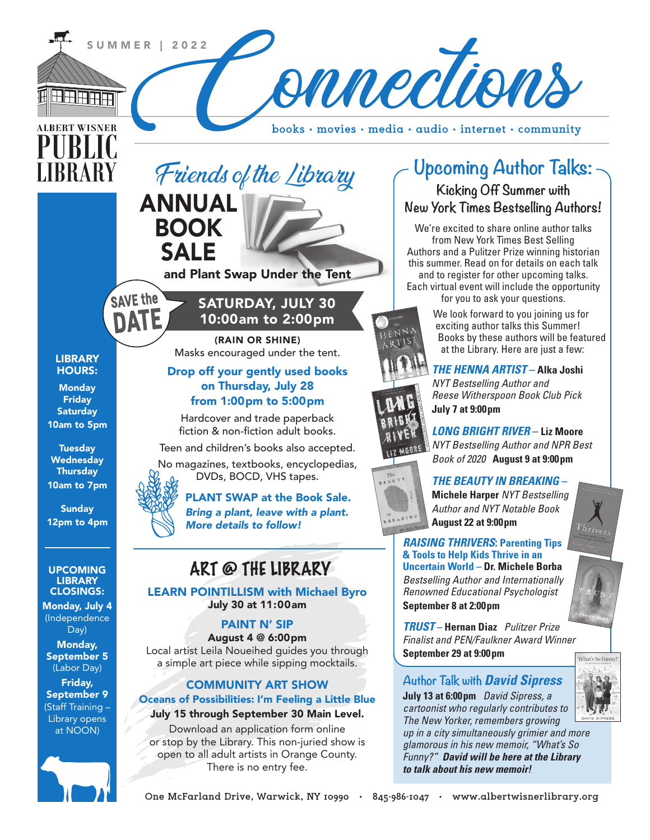

**One McFarland Drive, Warwick, NY 10990 • 845-986-1047 • www.albertwisnerlibrary.org**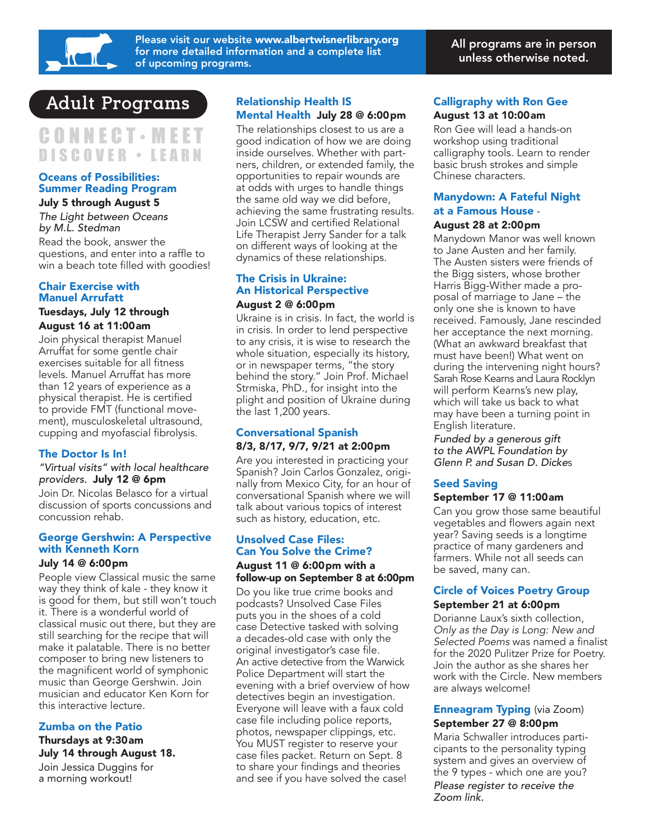

Please visit our website www.albertwisnerlibrary.org for more detailed information and a complete list of upcoming programs.

# **Adult Programs**

# CONNECT • MEET DISCOVER • LEARN

### Oceans of Possibilities: Summer Reading Program July 5 through August 5

*The Light between Oceans by M.L. Stedman*

Read the book, answer the questions, and enter into a raffle to win a beach tote filled with goodies!

### Chair Exercise with Manuel Arrufatt

### Tuesdays, July 12 through August 16 at 11:00am

Join physical therapist Manuel Arruffat for some gentle chair exercises suitable for all fitness levels. Manuel Arruffat has more than 12 years of experience as a physical therapist. He is certified to provide FMT (functional movement), musculoskeletal ultrasound, cupping and myofascial fibrolysis.

# The Doctor Is In!

#### *"Virtual visits" with local healthcare providers.* July 12 @ 6pm

Join Dr. Nicolas Belasco for a virtual discussion of sports concussions and concussion rehab.

#### George Gershwin: A Perspective with Kenneth Korn

#### July 14 @ 6:00pm

People view Classical music the same way they think of kale - they know it is good for them, but still won't touch it. There is a wonderful world of classical music out there, but they are still searching for the recipe that will make it palatable. There is no better composer to bring new listeners to the magnificent world of symphonic music than George Gershwin. Join musician and educator Ken Korn for this interactive lecture.

# Zumba on the Patio

Thursdays at 9:30am July 14 through August 18. Join Jessica Duggins for a morning workout!

# Relationship Health IS Mental Health July 28 @ 6:00pm

The relationships closest to us are a good indication of how we are doing inside ourselves. Whether with partners, children, or extended family, the opportunities to repair wounds are at odds with urges to handle things the same old way we did before, achieving the same frustrating results. Join LCSW and certified Relational Life Therapist Jerry Sander for a talk on different ways of looking at the dynamics of these relationships.

### The Crisis in Ukraine: An Historical Perspective August 2 @ 6:00pm

Ukraine is in crisis. In fact, the world is in crisis. In order to lend perspective to any crisis, it is wise to research the whole situation, especially its history, or in newspaper terms, "the story behind the story." Join Prof. Michael Strmiska, PhD., for insight into the plight and position of Ukraine during the last 1,200 years.

### Conversational Spanish 8/3, 8/17, 9/7, 9/21 at 2:00pm

Are you interested in practicing your Spanish? Join Carlos Gonzalez, originally from Mexico City, for an hour of conversational Spanish where we will talk about various topics of interest such as history, education, etc.

### Unsolved Case Files: Can You Solve the Crime? August 11 @ 6:00pm with a follow-up on September 8 at 6:00pm

Do you like true crime books and podcasts? Unsolved Case Files puts you in the shoes of a cold case Detective tasked with solving a decades-old case with only the original investigator's case file. An active detective from the Warwick Police Department will start the evening with a brief overview of how detectives begin an investigation. Everyone will leave with a faux cold case file including police reports, photos, newspaper clippings, etc. You MUST register to reserve your case files packet. Return on Sept. 8 to share your findings and theories and see if you have solved the case!

## Calligraphy with Ron Gee August 13 at 10:00am

Ron Gee will lead a hands-on workshop using traditional calligraphy tools. Learn to render basic brush strokes and simple Chinese characters.

# Manydown: A Fateful Night at a Famous House -

### August 28 at 2:00pm

Manydown Manor was well known to Jane Austen and her family. The Austen sisters were friends of the Bigg sisters, whose brother Harris Bigg-Wither made a proposal of marriage to Jane – the only one she is known to have received. Famously, Jane rescinded her acceptance the next morning. (What an awkward breakfast that must have been!) What went on during the intervening night hours? Sarah Rose Kearns and Laura Rocklyn will perform Kearns's new play, which will take us back to what may have been a turning point in English literature.

*Funded by a generous gift to the AWPL Foundation by Glenn P. and Susan D. Dicke*s

# Seed Saving

### September 17 @ 11:00am

Can you grow those same beautiful vegetables and flowers again next year? Saving seeds is a longtime practice of many gardeners and farmers. While not all seeds can be saved, many can.

# Circle of Voices Poetry Group

### September 21 at 6:00pm

Dorianne Laux's sixth collection, *Only as the Day is Long: New and Selected Poems* was named a finalist for the 2020 Pulitzer Prize for Poetry. Join the author as she shares her work with the Circle. New members are always welcome!

### **Enneagram Typing (via Zoom)** September 27 @ 8:00pm

Maria Schwaller introduces participants to the personality typing system and gives an overview of the 9 types - which one are you?

*Please register to receive the Zoom link.*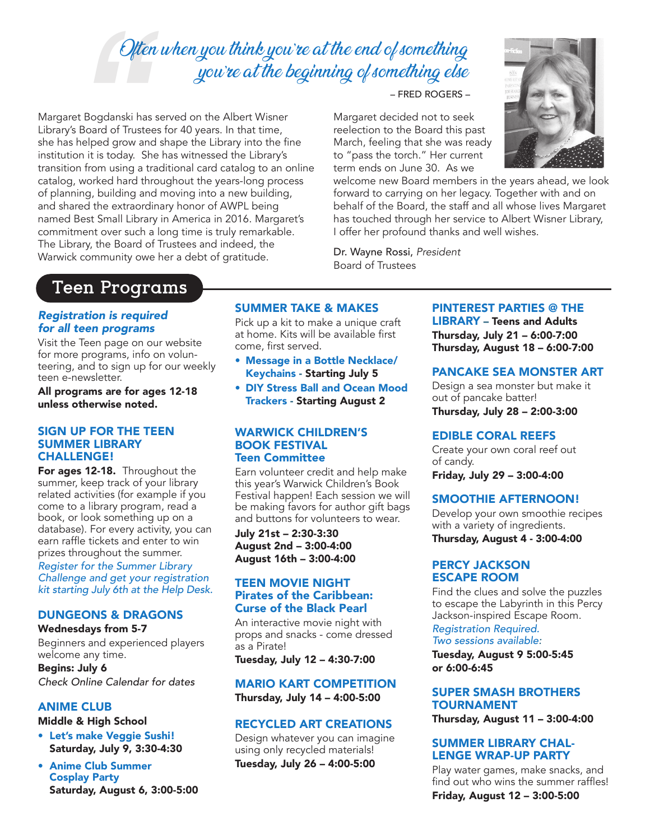# Often when you think you're at the end of something you're at the beginning of something else

*Oft*<br>et Bogdanski h<br>s Board of Trus<br>s helped grow a<br>ion it is today.<br>1, worked hard<br>1, worked hard<br>ared the extrao<br>Best Small Libr<br>tment over such Margaret Bogdanski has served on the Albert Wisner Library's Board of Trustees for 40 years. In that time, she has helped grow and shape the Library into the fine institution it is today. She has witnessed the Library's transition from using a traditional card catalog to an online catalog, worked hard throughout the years-long process of planning, building and moving into a new building, and shared the extraordinary honor of AWPL being named Best Small Library in America in 2016. Margaret's commitment over such a long time is truly remarkable. The Library, the Board of Trustees and indeed, the Warwick community owe her a debt of gratitude.

– FRED ROGERS –

Margaret decided not to seek reelection to the Board this past March, feeling that she was ready to "pass the torch." Her current term ends on June 30. As we

welcome new Board members in the years ahead, we look forward to carrying on her legacy. Together with and on behalf of the Board, the staff and all whose lives Margaret has touched through her service to Albert Wisner Library, I offer her profound thanks and well wishes.

Dr. Wayne Rossi, *President* Board of Trustees

# **Teen Programs**

### *Registration is required for all teen programs*

Visit the Teen page on our website for more programs, info on volunteering, and to sign up for our weekly teen e-newsletter.

All programs are for ages 12-18 unless otherwise noted.

#### SIGN UP FOR THE TEEN SUMMER LIBRARY CHALLENGE!

For ages 12-18. Throughout the summer, keep track of your library related activities (for example if you come to a library program, read a book, or look something up on a database). For every activity, you can earn raffle tickets and enter to win prizes throughout the summer.

*Register for the Summer Library Challenge and get your registration kit starting July 6th at the Help Desk.*

# DUNGEONS & DRAGONS

### Wednesdays from 5-7

Beginners and experienced players welcome any time.

Begins: July 6 *Check Online Calendar for dates* 

# ANIME CLUB

Middle & High School

- Let's make Veggie Sushi! Saturday, July 9, 3:30-4:30
- Anime Club Summer Cosplay Party Saturday, August 6, 3:00-5:00

# SUMMER TAKE & MAKES

Pick up a kit to make a unique craft at home. Kits will be available first come, first served.

- Message in a Bottle Necklace/ Keychains - Starting July 5
- DIY Stress Ball and Ocean Mood Trackers - Starting August 2

### WARWICK CHILDREN'S BOOK FESTIVAL Teen Committee

Earn volunteer credit and help make this year's Warwick Children's Book Festival happen! Each session we will be making favors for author gift bags and buttons for volunteers to wear.

July 21st – 2:30-3:30 August 2nd – 3:00-4:00 August 16th – 3:00-4:00

### TEEN MOVIE NIGHT Pirates of the Caribbean: Curse of the Black Pearl

An interactive movie night with props and snacks - come dressed as a Pirate!

Tuesday, July 12 – 4:30-7:00

### MARIO KART COMPETITION Thursday, July 14 – 4:00-5:00

### RECYCLED ART CREATIONS

Design whatever you can imagine using only recycled materials! Tuesday, July 26 – 4:00-5:00

# PINTEREST PARTIES @ THE

LIBRARY – Teens and Adults Thursday, July 21 – 6:00-7:00 Thursday, August 18 – 6:00-7:00

### PANCAKE SEA MONSTER ART

Design a sea monster but make it out of pancake batter! Thursday, July 28 – 2:00-3:00

#### EDIBLE CORAL REEFS

Create your own coral reef out of candy. Friday, July 29 – 3:00-4:00

### SMOOTHIE AFTERNOON!

Develop your own smoothie recipes with a variety of ingredients.

Thursday, August 4 - 3:00-4:00

### PERCY JACKSON ESCAPE ROOM

Find the clues and solve the puzzles to escape the Labyrinth in this Percy Jackson-inspired Escape Room.

*Registration Required. Two sessions available:*

Tuesday, August 9 5:00-5:45 or 6:00-6:45

### SUPER SMASH BROTHERS TOURNAMENT

Thursday, August 11 – 3:00-4:00

### SUMMER LIBRARY CHAL-LENGE WRAP-UP PARTY

Play water games, make snacks, and find out who wins the summer raffles!

Friday, August 12 – 3:00-5:00

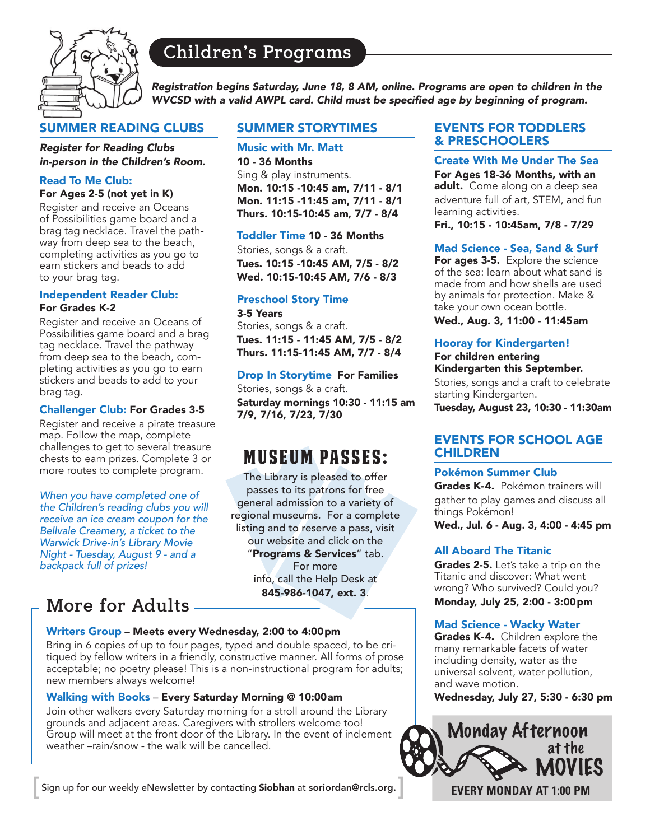

# **Children's Programs**

*Registration begins Saturday, June 18, 8 AM, online. Programs are open to children in the*  WVCSD with a valid AWPL card. Child must be specified age by beginning of program.

# SUMMER READING CLUBS

*Register for Reading Clubs in-person in the Children's Room.*

# Read To Me Club:

### For Ages 2-5 (not yet in K)

Register and receive an Oceans of Possibilities game board and a brag tag necklace. Travel the pathway from deep sea to the beach, completing activities as you go to earn stickers and beads to add to your brag tag.

### Independent Reader Club: For Grades K-2

Register and receive an Oceans of Possibilities game board and a brag tag necklace. Travel the pathway from deep sea to the beach, completing activities as you go to earn stickers and beads to add to your brag tag.

### Challenger Club: For Grades 3-5

Register and receive a pirate treasure map. Follow the map, complete challenges to get to several treasure chests to earn prizes. Complete 3 or more routes to complete program.

*When you have completed one of the Children's reading clubs you will receive an ice cream coupon for the Bellvale Creamery, a ticket to the Warwick Drive-in's Library Movie Night - Tuesday, August 9 - and a backpack full of prizes!*

# **More for Adults**

# SUMMER STORYTIMES

Music with Mr. Matt 10 - 36 Months Sing & play instruments. Mon. 10:15 -10:45 am, 7/11 - 8/1 Mon. 11:15 -11:45 am, 7/11 - 8/1 Thurs. 10:15-10:45 am, 7/7 - 8/4

### Toddler Time 10 - 36 Months

Stories, songs & a craft. Tues. 10:15 -10:45 AM, 7/5 - 8/2 Wed. 10:15-10:45 AM, 7/6 - 8/3

# Preschool Story Time

3-5 Years

Stories, songs & a craft. Tues. 11:15 - 11:45 AM, 7/5 - 8/2 Thurs. 11:15-11:45 AM, 7/7 - 8/4

### Drop In Storytime For Families

Stories, songs & a craft. Saturday mornings 10:30 - 11:15 am 7/9, 7/16, 7/23, 7/30

# MUSEUM PASSES:

The Library is pleased to offer passes to its patrons for free general admission to a variety of regional museums. For a complete listing and to reserve a pass, visit our website and click on the "Programs & Services" tab. For more info, call the Help Desk at 845-986-1047, ext. 3.

### Writers Group – Meets every Wednesday, 2:00 to 4:00pm

Bring in 6 copies of up to four pages, typed and double spaced, to be critiqued by fellow writers in a friendly, constructive manner. All forms of prose acceptable; no poetry please! This is a non-instructional program for adults; new members always welcome!

### Walking with Books – Every Saturday Morning @ 10:00am

Join other walkers every Saturday morning for a stroll around the Library grounds and adjacent areas. Caregivers with strollers welcome too! Group will meet at the front door of the Library. In the event of inclement weather –rain/snow - the walk will be cancelled.

Sign up for our weekly eNewsletter by contacting Siobhan at soriordan@rcls.org. **[ ]**

# EVENTS FOR TODDLERS & PRESCHOOLERS

Create With Me Under The Sea For Ages 18-36 Months, with an adult. Come along on a deep sea adventure full of art, STEM, and fun learning activities.

Fri., 10:15 - 10:45am, 7/8 - 7/29

# Mad Science - Sea, Sand & Surf

For ages 3-5. Explore the science of the sea: learn about what sand is made from and how shells are used by animals for protection. Make & take your own ocean bottle.

## Wed., Aug. 3, 11:00 - 11:45am

### Hooray for Kindergarten!

For children entering Kindergarten this September.

Stories, songs and a craft to celebrate starting Kindergarten.

Tuesday, August 23, 10:30 - 11:30am

# EVENTS FOR SCHOOL AGE CHILDREN

### Pokémon Summer Club

Grades K-4. Pokémon trainers will gather to play games and discuss all things Pokémon!

Wed., Jul. 6 - Aug. 3, 4:00 - 4:45 pm

# All Aboard The Titanic

Grades 2-5. Let's take a trip on the Titanic and discover: What went wrong? Who survived? Could you? Monday, July 25, 2:00 - 3:00pm

### Mad Science - Wacky Water

Grades K-4. Children explore the many remarkable facets of water including density, water as the universal solvent, water pollution, and wave motion.

Wednesday, July 27, 5:30 - 6:30 pm

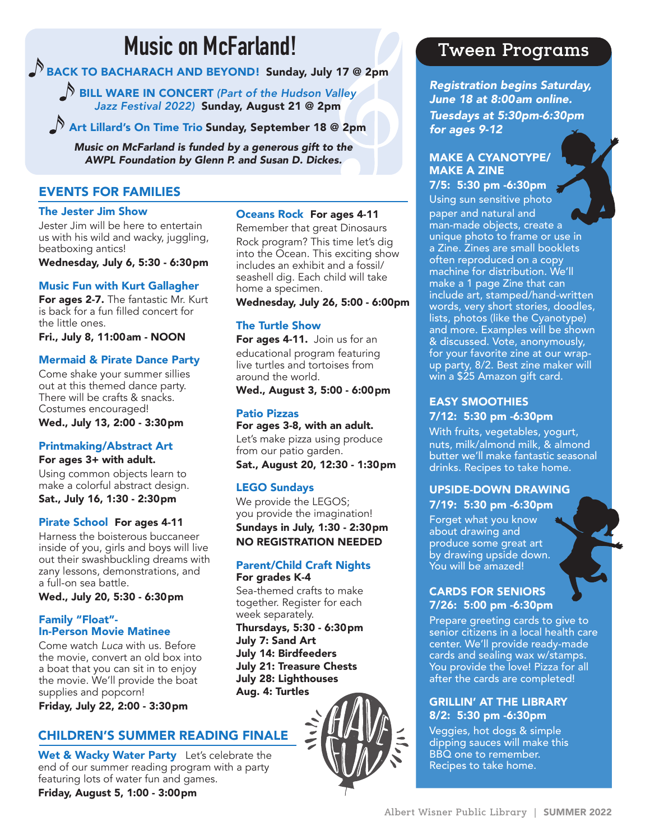# **Music on McFarland!**

BACK TO BACHARACH AND BEYOND! Sunday, July 17 @ 2pm

BILL WARE IN CONCERT *(Part of the Hudson Valley Jazz Festival 2022)* Sunday, August 21 @ 2pm

Art Lillard's On Time Trio Sunday, September 18 @ 2pm

*Music on McFarland is funded by a generous gift to the AWPL Foundation by Glenn P. and Susan D. Dickes.*

# EVENTS FOR FAMILIES

### The Jester Jim Show

Jester Jim will be here to entertain us with his wild and wacky, juggling, beatboxing antics!

Wednesday, July 6, 5:30 - 6:30pm

# Music Fun with Kurt Gallagher

For ages 2-7. The fantastic Mr. Kurt is back for a fun filled concert for the little ones.

Fri., July 8, 11:00am - NOON

# Mermaid & Pirate Dance Party

Come shake your summer sillies out at this themed dance party. There will be crafts & snacks. Costumes encouraged! Wed., July 13, 2:00 - 3:30pm

# Printmaking/Abstract Art

For ages 3+ with adult. Using common objects learn to make a colorful abstract design. Sat., July 16, 1:30 - 2:30pm

# Pirate School For ages 4-11

Harness the boisterous buccaneer inside of you, girls and boys will live out their swashbuckling dreams with zany lessons, demonstrations, and a full-on sea battle.

Wed., July 20, 5:30 - 6:30pm

# Family "Float"- In-Person Movie Matinee

Come watch *Luca* with us. Before the movie, convert an old box into a boat that you can sit in to enjoy the movie. We'll provide the boat supplies and popcorn!

Friday, July 22, 2:00 - 3:30pm

# CHILDREN'S SUMMER READING FINALE

Wet & Wacky Water Party Let's celebrate the end of our summer reading program with a party featuring lots of water fun and games.

Friday, August 5, 1:00 - 3:00pm

# Oceans Rock For ages 4-11

Remember that great Dinosaurs Rock program? This time let's dig into the Ocean. This exciting show includes an exhibit and a fossil/ seashell dig. Each child will take home a specimen.

Wednesday, July 26, 5:00 - 6:00pm

# The Turtle Show

For ages 4-11. Join us for an educational program featuring live turtles and tortoises from around the world.

Wed., August 3, 5:00 - 6:00pm

### Patio Pizzas

For ages 3-8, with an adult. Let's make pizza using produce from our patio garden.

Sat., August 20, 12:30 - 1:30pm

# LEGO Sundays

We provide the LEGOS; you provide the imagination! Sundays in July, 1:30 - 2:30pm NO REGISTRATION NEEDED

### Parent/Child Craft Nights For grades K-4

Sea-themed crafts to make together. Register for each week separately.

Thursdays, 5:30 - 6:30pm July 7: Sand Art July 14: Birdfeeders July 21: Treasure Chests July 28: Lighthouses Aug. 4: Turtles



# **Tween Programs**

*Registration begins Saturday, June 18 at 8:00am online. Tuesdays at 5:30pm-6:30pm for ages 9-12*

# MAKE A CYANOTYPE/ MAKE A ZINE

7/5: 5:30 pm -6:30pm Using sun sensitive photo paper and natural and man-made objects, create a unique photo to frame or use in a Zine. Zines are small booklets often reproduced on a copy machine for distribution. We'll make a 1 page Zine that can include art, stamped/hand-written words, very short stories, doodles, lists, photos (like the Cyanotype) and more. Examples will be shown & discussed. Vote, anonymously, for your favorite zine at our wrapup party, 8/2. Best zine maker will win a \$25 Amazon gift card.

# EASY SMOOTHIES 7/12: 5:30 pm -6:30pm

With fruits, vegetables, yogurt, nuts, milk/almond milk, & almond butter we'll make fantastic seasonal drinks. Recipes to take home.

# UPSIDE-DOWN DRAWING 7/19: 5:30 pm -6:30pm

Forget what you know about drawing and produce some great art by drawing upside down. You will be amazed!

# CARDS FOR SENIORS 7/26: 5:00 pm -6:30pm

Prepare greeting cards to give to senior citizens in a local health care center. We'll provide ready-made cards and sealing wax w/stamps. You provide the love! Pizza for all after the cards are completed!

# GRILLIN' AT THE LIBRARY 8/2: 5:30 pm -6:30pm

Veggies, hot dogs & simple dipping sauces will make this BBQ one to remember. Recipes to take home.